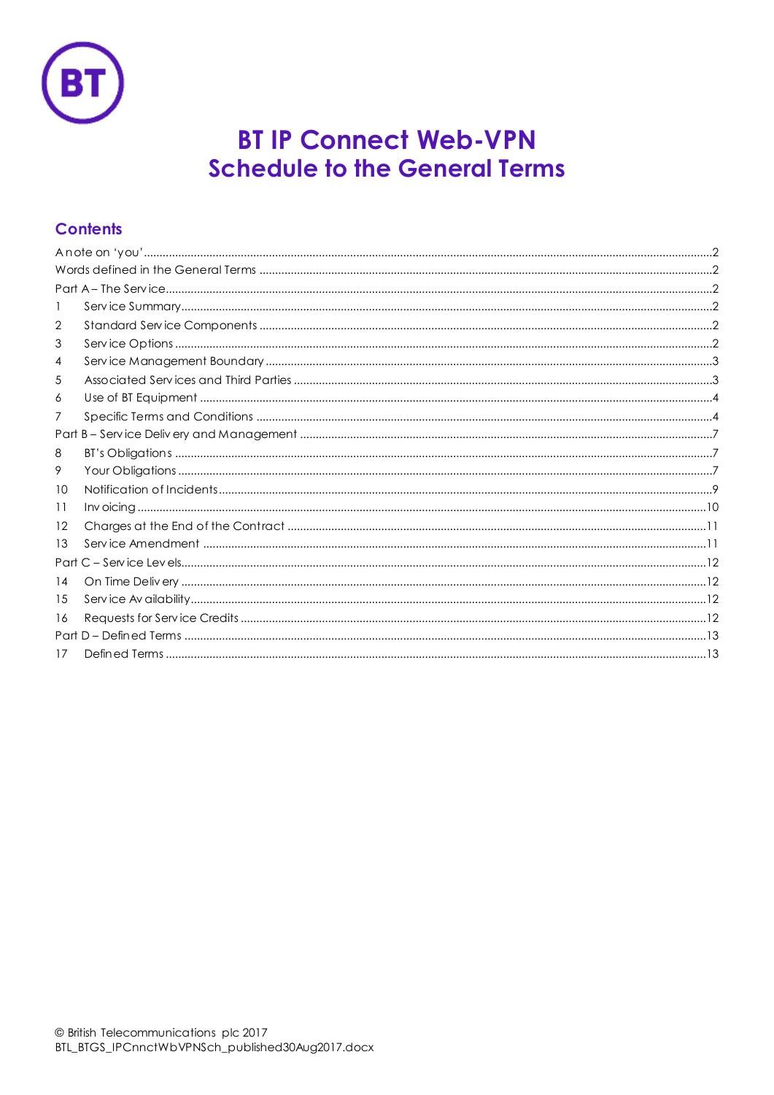

# **BT IP Connect Web-VPN Schedule to the General Terms**

## **Contents**

| 2                 |  |  |  |  |  |
|-------------------|--|--|--|--|--|
| 3                 |  |  |  |  |  |
| 4                 |  |  |  |  |  |
| 5                 |  |  |  |  |  |
| 6                 |  |  |  |  |  |
| 7                 |  |  |  |  |  |
|                   |  |  |  |  |  |
| 8                 |  |  |  |  |  |
| 9                 |  |  |  |  |  |
| 10                |  |  |  |  |  |
| 11                |  |  |  |  |  |
| $12 \overline{ }$ |  |  |  |  |  |
| 13                |  |  |  |  |  |
| Part              |  |  |  |  |  |
| 14                |  |  |  |  |  |
| 15                |  |  |  |  |  |
| 16                |  |  |  |  |  |
|                   |  |  |  |  |  |
| 17                |  |  |  |  |  |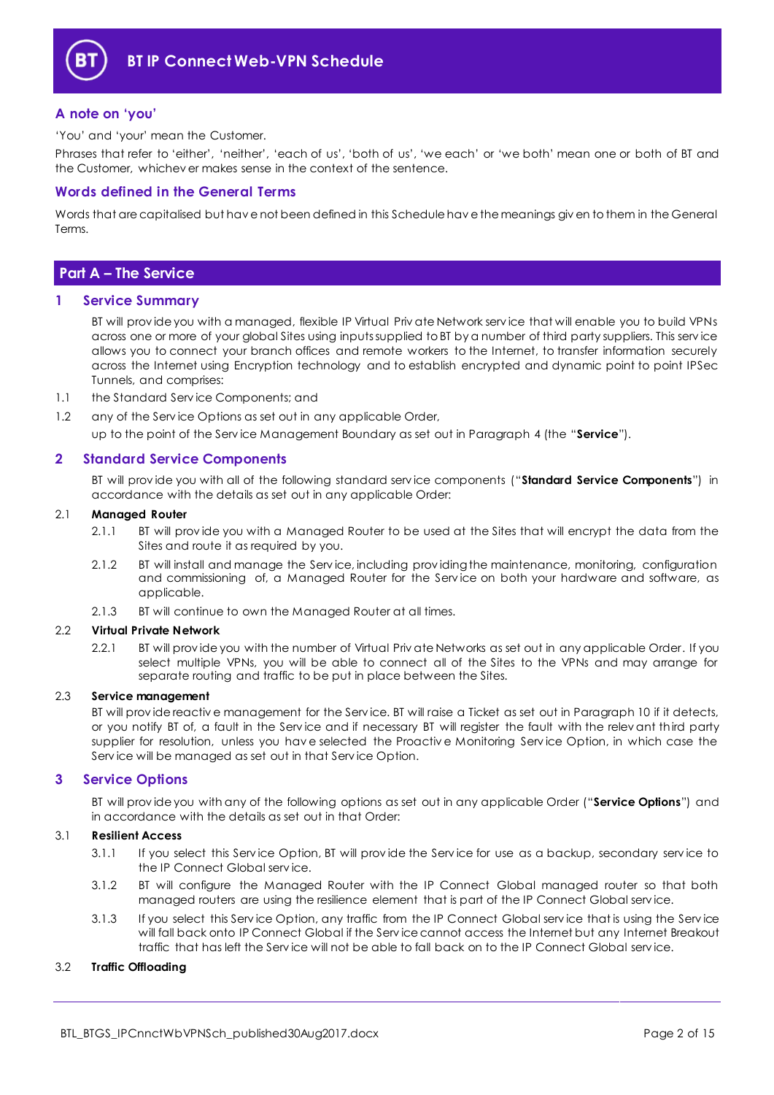

## <span id="page-1-0"></span>**A note on 'you'**

'You' and 'your' mean the Customer.

Phrases that refer to 'either', 'neither', 'each of us', 'both of us', 'we each' or 'we both' mean one or both of BT and the Customer, whichev er makes sense in the context of the sentence.

## <span id="page-1-1"></span>**Words defined in the General Terms**

Words that are capitalised but hav e not been defined in this Schedule hav e the meanings giv en to them in the General Terms.

## <span id="page-1-2"></span>**Part A – The Service**

#### <span id="page-1-3"></span>**1 Service Summary**

BT will prov ide you with a managed, flexible IP Virtual Priv ate Network serv ice that will enable you to build VPNs across one or more of your global Sites using inputs supplied to BT by a number of third party suppliers. This serv ice allows you to connect your branch offices and remote workers to the Internet, to transfer information securely across the Internet using Encryption technology and to establish encrypted and dynamic point to point IPSec Tunnels, and comprises:

- 1.1 the Standard Serv ice Components; and
- 1.2 any of the Serv ice Options as set out in any applicable Order,

up to the point of the Serv ice Management Boundary as set out in Paragraph [4](#page-2-0) (the "**Service**").

## <span id="page-1-4"></span>**2 Standard Service Components**

BT will prov ide you with all of the following standard serv ice components ("**Standard Service Components**") in accordance with the details as set out in any applicable Order:

#### 2.1 **Managed Router**

- 2.1.1 BT will prov ide you with a Managed Router to be used at the Sites that will encrypt the data from the Sites and route it as required by you.
- 2.1.2 BT will install and manage the Serv ice, including prov iding the maintenance, monitoring, configuration and commissioning of, a Managed Router for the Serv ice on both your hardware and software, as applicable.
- 2.1.3 BT will continue to own the Managed Router at all times.

#### 2.2 **Virtual Private Network**

2.2.1 BT will prov ide you with the number of Virtual Priv ate Networks as set out in any applicable Order. If you select multiple VPNs, you will be able to connect all of the Sites to the VPNs and may arrange for separate routing and traffic to be put in place between the Sites.

#### 2.3 **Service management**

BT will prov ide reactiv e management for the Serv ice. BT will raise a Ticket as set out in Paragrap[h 10](#page-8-0) if it detects, or you notify BT of, a fault in the Serv ice and if necessary BT will register the fault with the relev ant third party supplier for resolution, unless you hav e selected the Proactiv e Monitoring Serv ice Option, in which case the Serv ice will be managed as set out in that Serv ice Option.

#### <span id="page-1-5"></span>**3 Service Options**

BT will prov ide you with any of the following options as set out in any applicable Order ("**Service Options**") and in accordance with the details as set out in that Order:

#### 3.1 **Resilient Access**

- 3.1.1 If you select this Serv ice Option, BT will prov ide the Serv ice for use as a backup, secondary serv ice to the IP Connect Global serv ice.
- 3.1.2 BT will configure the Managed Router with the IP Connect Global managed router so that both managed routers are using the resilience element that is part of the IP Connect Global serv ice.
- 3.1.3 If you select this Serv ice Option, any traffic from the IP Connect Global serv ice that is using the Serv ice will fall back onto IP Connect Global if the Serv ice cannot access the Internet but any Internet Breakout traffic that has left the Serv ice will not be able to fall back on to the IP Connect Global serv ice.

#### 3.2 **Traffic Offloading**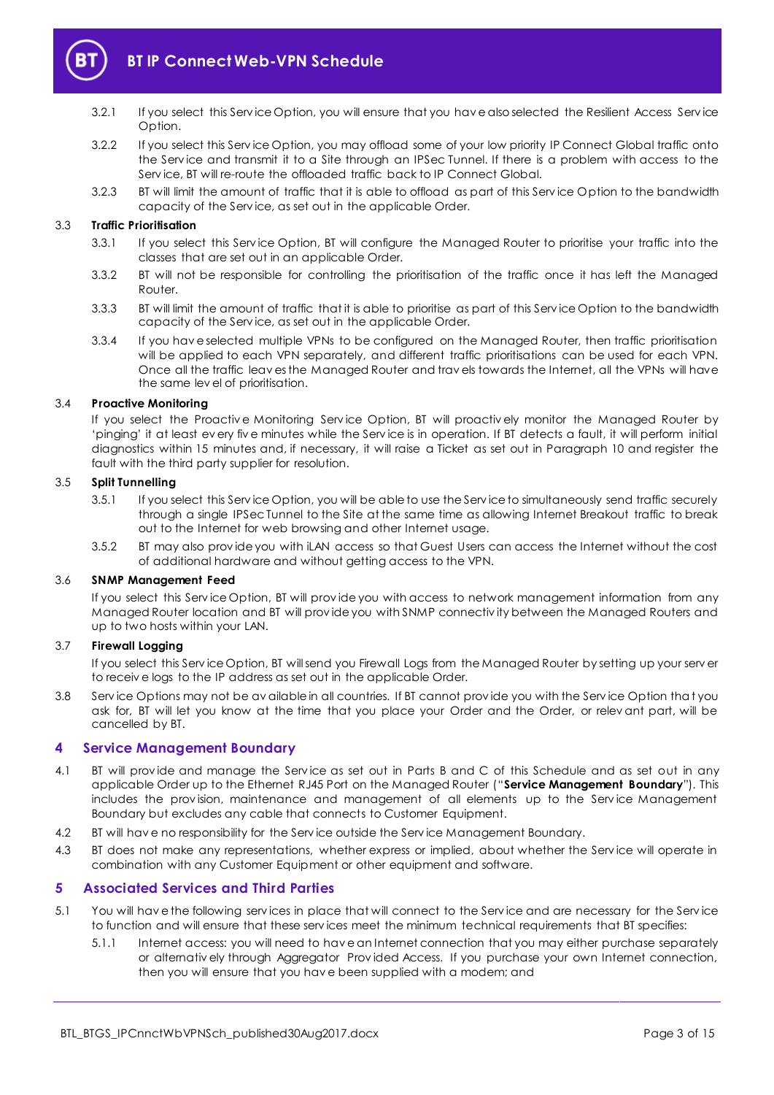

- 3.2.1 If you select this Serv ice Option, you will ensure that you hav e also selected the Resilient Access Serv ice Option.
- 3.2.2 If you select this Serv ice Option, you may offload some of your low priority IP Connect Global traffic onto the Serv ice and transmit it to a Site through an IPSec Tunnel. If there is a problem with access to the Serv ice, BT will re-route the offloaded traffic back to IP Connect Global.
- 3.2.3 BT will limit the amount of traffic that it is able to offload as part of this Serv ice Option to the bandwidth capacity of the Serv ice, as set out in the applicable Order.

#### 3.3 **Traffic Prioritisation**

- 3.3.1 If you select this Serv ice Option, BT will configure the Managed Router to prioritise your traffic into the classes that are set out in an applicable Order.
- 3.3.2 BT will not be responsible for controlling the prioritisation of the traffic once it has left the Managed Router.
- 3.3.3 BT will limit the amount of traffic that it is able to prioritise as part of this Serv ice Option to the bandwidth capacity of the Serv ice, as set out in the applicable Order.
- 3.3.4 If you hav e selected multiple VPNs to be configured on the Managed Router, then traffic prioritisation will be applied to each VPN separately, and different traffic prioritisations can be used for each VPN. Once all the traffic leav es the Managed Router and trav els towards the Internet, all the VPNs will have the same lev el of prioritisation.

#### 3.4 **Proactive Monitoring**

If you select the Proactive Monitoring Service Option, BT will proactively monitor the Managed Router by 'pinging' it at least ev ery fiv e minutes while the Serv ice is in operation. If BT detects a fault, it will perform initial diagnostics within 15 minutes and, if necessary, it will raise a Ticket as set out in Paragraph [10](#page-8-0) and register the fault with the third party supplier for resolution.

#### 3.5 **Split Tunnelling**

- 3.5.1 If you select this Serv ice Option, you will be able to use the Serv ice to simultaneously send traffic securely through a single IPSec Tunnel to the Site at the same time as allowing Internet Breakout traffic to break out to the Internet for web browsing and other Internet usage.
- 3.5.2 BT may also prov ide you with iLAN access so that Guest Users can access the Internet without the cost of additional hardware and without getting access to the VPN.

#### 3.6 **SNMP Management Feed**

If you select this Serv ice Option, BT will prov ide you with access to network management information from any Managed Router location and BT will prov ide you with SNMP connectiv ity between the Managed Routers and up to two hosts within your LAN.

## 3.7 **Firewall Logging**

If you select this Serv ice Option, BT will send you Firewall Logs from the Managed Router by setting up your serv er to receiv e logs to the IP address as set out in the applicable Order.

3.8 Serv ice Options may not be av ailable in all countries. If BT cannot prov ide you with the Serv ice Option that you ask for, BT will let you know at the time that you place your Order and the Order, or relev ant part, will be cancelled by BT.

#### <span id="page-2-0"></span>**4 Service Management Boundary**

- <span id="page-2-2"></span>4.1 BT will prov ide and manage the Serv ice as set out in Parts B and C of this Schedule and as set out in any applicable Order up to the Ethernet RJ45 Port on the Managed Router ("**Service Management Boundary**"). This includes the prov ision, maintenance and management of all elements up to the Serv ice Management Boundary but excludes any cable that connects to Customer Equipment.
- 4.2 BT will hav e no responsibility for the Serv ice outside the Serv ice Management Boundary.
- 4.3 BT does not make any representations, whether express or implied, about whether the Service will operate in combination with any Customer Equipment or other equipment and software.

## <span id="page-2-1"></span>**5 Associated Services and Third Parties**

- 5.1 You will hav e the following serv ices in place that will connect to the Serv ice and are necessary for the Serv ice to function and will ensure that these serv ices meet the minimum technical requirements that BT specifies:
	- 5.1.1 Internet access: you will need to hav e an Internet connection that you may either purchase separately or alternativ ely through Aggregator Prov ided Access. If you purchase your own Internet connection, then you will ensure that you hav e been supplied with a modem; and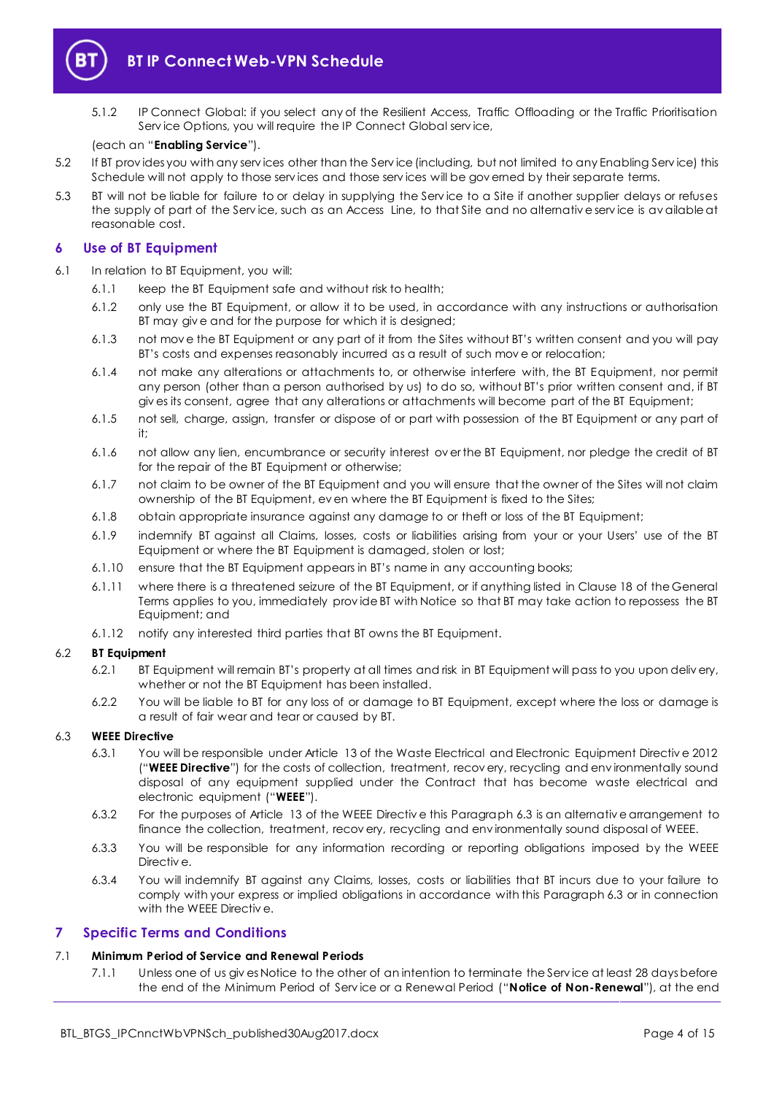

5.1.2 IP Connect Global: if you select any of the Resilient Access, Traffic Offloading or the Traffic Prioritisation Serv ice Options, you will require the IP Connect Global serv ice,

#### (each an "**Enabling Service**").

- 5.2 If BT prov ides you with any serv ices other than the Serv ice (including, but not limited to any Enabling Serv ice) this Schedule will not apply to those services and those services will be governed by their separate terms.
- 5.3 BT will not be liable for failure to or delay in supplying the Serv ice to a Site if another supplier delays or refuses the supply of part of the Serv ice, such as an Access Line, to that Site and no alternativ e serv ice is av ailable at reasonable cost.

## <span id="page-3-0"></span>**6 Use of BT Equipment**

- 6.1 In relation to BT Equipment, you will:
	- 6.1.1 keep the BT Equipment safe and without risk to health;
	- 6.1.2 only use the BT Equipment, or allow it to be used, in accordance with any instructions or authorisation BT may giv e and for the purpose for which it is designed;
	- 6.1.3 not mov e the BT Equipment or any part of it from the Sites without BT's written consent and you will pay BT's costs and expenses reasonably incurred as a result of such mov e or relocation;
	- 6.1.4 not make any alterations or attachments to, or otherwise interfere with, the BT Equipment, nor permit any person (other than a person authorised by us) to do so, without BT's prior written consent and, if BT giv es its consent, agree that any alterations or attachments will become part of the BT Equipment;
	- 6.1.5 not sell, charge, assign, transfer or dispose of or part with possession of the BT Equipment or any part of it;
	- 6.1.6 not allow any lien, encumbrance or security interest ov er the BT Equipment, nor pledge the credit of BT for the repair of the BT Equipment or otherwise;
	- 6.1.7 not claim to be owner of the BT Equipment and you will ensure that the owner of the Sites will not claim ownership of the BT Equipment, ev en where the BT Equipment is fixed to the Sites;
	- 6.1.8 obtain appropriate insurance against any damage to or theft or loss of the BT Equipment;
	- 6.1.9 indemnify BT against all Claims, losses, costs or liabilities arising from your or your Users' use of the BT Equipment or where the BT Equipment is damaged, stolen or lost;
	- 6.1.10 ensure that the BT Equipment appears in BT's name in any accounting books;
	- 6.1.11 where there is a threatened seizure of the BT Equipment, or if anything listed in Clause 18 of the General Terms applies to you, immediately prov ide BT with Notice so that BT may take action to repossess the BT Equipment; and
	- 6.1.12 notify any interested third parties that BT owns the BT Equipment.

#### 6.2 **BT Equipment**

- 6.2.1 BT Equipment will remain BT's property at all times and risk in BT Equipment will pass to you upon deliv ery, whether or not the BT Equipment has been installed.
- 6.2.2 You will be liable to BT for any loss of or damage to BT Equipment, except where the loss or damage is a result of fair wear and tear or caused by BT.

#### <span id="page-3-4"></span><span id="page-3-2"></span>6.3 **WEEE Directive**

- 6.3.1 You will be responsible under Article 13 of the Waste Electrical and Electronic Equipment Directiv e 2012 ("**WEEE Directive**") for the costs of collection, treatment, recov ery, recycling and env ironmentally sound disposal of any equipment supplied under the Contract that has become waste electrical and electronic equipment ("**WEEE**").
- 6.3.2 For the purposes of Article 13 of the WEEE Directiv e this Paragrap[h 6.3](#page-3-2) is an alternativ e arrangement to finance the collection, treatment, recov ery, recycling and env ironmentally sound disposal of WEEE.
- 6.3.3 You will be responsible for any information recording or reporting obligations imposed by the WEEE Directiv e.
- 6.3.4 You will indemnify BT against any Claims, losses, costs or liabilities that BT incurs due to your failure to comply with your express or implied obligations in accordance with this Paragrap[h 6.3](#page-3-2) or in connection with the WEEE Directiv e.

#### <span id="page-3-1"></span>**7 Specific Terms and Conditions**

#### <span id="page-3-3"></span>7.1 **Minimum Period of Service and Renewal Periods**

7.1.1 Unless one of us giv es Notice to the other of an intention to terminate the Serv ice at least 28 days before the end of the Minimum Period of Serv ice or a Renewal Period ("**Notice of Non-Renewal**"), at the end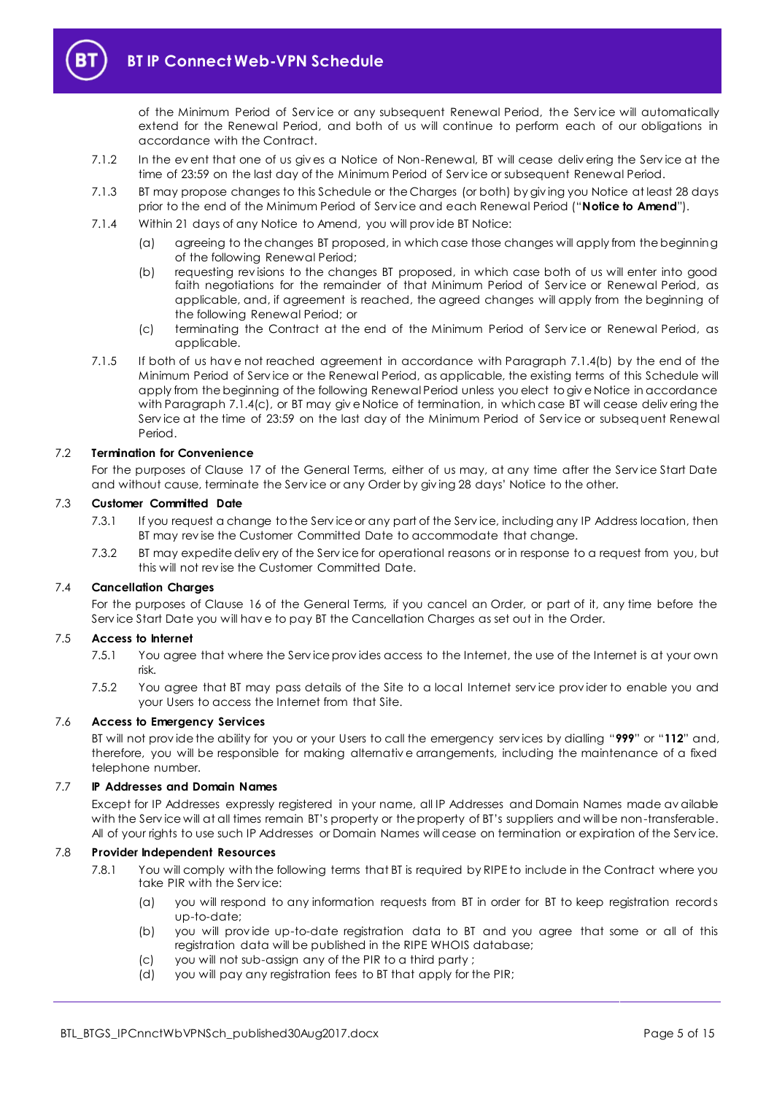

of the Minimum Period of Serv ice or any subsequent Renewal Period, the Serv ice will automatically extend for the Renewal Period, and both of us will continue to perform each of our obligations in accordance with the Contract.

- 7.1.2 In the ev ent that one of us giv es a Notice of Non-Renewal, BT will cease deliv ering the Serv ice at the time of 23:59 on the last day of the Minimum Period of Serv ice or subsequent Renewal Period.
- <span id="page-4-2"></span>7.1.3 BT may propose changes to this Schedule or the Charges (or both) by giv ing you Notice at least 28 days prior to the end of the Minimum Period of Serv ice and each Renewal Period ("**Notice to Amend**").
- <span id="page-4-0"></span>7.1.4 Within 21 days of any Notice to Amend, you will prov ide BT Notice:
	- (a) agreeing to the changes BT proposed, in which case those changes will apply from the beginning of the following Renewal Period;
	- (b) requesting rev isions to the changes BT proposed, in which case both of us will enter into good faith negotiations for the remainder of that Minimum Period of Service or Renewal Period, as applicable, and, if agreement is reached, the agreed changes will apply from the beginning of the following Renewal Period; or
	- (c) terminating the Contract at the end of the Minimum Period of Serv ice or Renewal Period, as applicable.
- <span id="page-4-1"></span>7.1.5 If both of us hav e not reached agreement in accordance with Paragraph [7.1.4\(b\)](#page-4-0) by the end of the Minimum Period of Serv ice or the Renewal Period, as applicable, the existing terms of this Schedule will apply from the beginning of the following Renewal Period unless you elect to giv e Notice in accordance with Paragraph [7.1.4\(c\),](#page-4-1) or BT may give Notice of termination, in which case BT will cease delivering the Serv ice at the time of 23:59 on the last day of the Minimum Period of Serv ice or subsequent Renewal Period.

### 7.2 **Termination for Convenience**

For the purposes of Clause 17 of the General Terms, either of us may, at any time after the Serv ice Start Date and without cause, terminate the Serv ice or any Order by giv ing 28 days' Notice to the other.

## 7.3 **Customer Committed Date**

- 7.3.1 If you request a change to the Serv ice or any part of the Serv ice, including any IP Address location, then BT may rev ise the Customer Committed Date to accommodate that change.
- 7.3.2 BT may expedite deliv ery of the Serv ice for operational reasons or in response to a request from you, but this will not rev ise the Customer Committed Date.

#### 7.4 **Cancellation Charges**

For the purposes of Clause 16 of the General Terms, if you cancel an Order, or part of it, any time before the Serv ice Start Date you will hav e to pay BT the Cancellation Charges as set out in the Order.

#### 7.5 **Access to Internet**

- 7.5.1 You agree that where the Serv ice prov ides access to the Internet, the use of the Internet is at your own risk.
- 7.5.2 You agree that BT may pass details of the Site to a local Internet serv ice prov ider to enable you and your Users to access the Internet from that Site.

#### 7.6 **Access to Emergency Services**

BT will not prov ide the ability for you or your Users to call the emergency serv ices by dialling "**999**" or "**112**" and, therefore, you will be responsible for making alternativ e arrangements, including the maintenance of a fixed telephone number.

#### 7.7 **IP Addresses and Domain Names**

Except for IP Addresses expressly registered in your name, all IP Addresses and Domain Names made av ailable with the Serv ice will at all times remain BT's property or the property of BT's suppliers and will be non-transferable. All of your rights to use such IP Addresses or Domain Names will cease on termination or expiration of the Serv ice.

#### 7.8 **Provider Independent Resources**

- 7.8.1 You will comply with the following terms that BT is required by RIPE to include in the Contract where you take PIR with the Serv ice:
	- (a) you will respond to any information requests from BT in order for BT to keep registration records up-to-date;
	- (b) you will prov ide up-to-date registration data to BT and you agree that some or all of this registration data will be published in the RIPE WHOIS database;
	- (c) you will not sub-assign any of the PIR to a third party ;
	- (d) you will pay any registration fees to BT that apply for the PIR;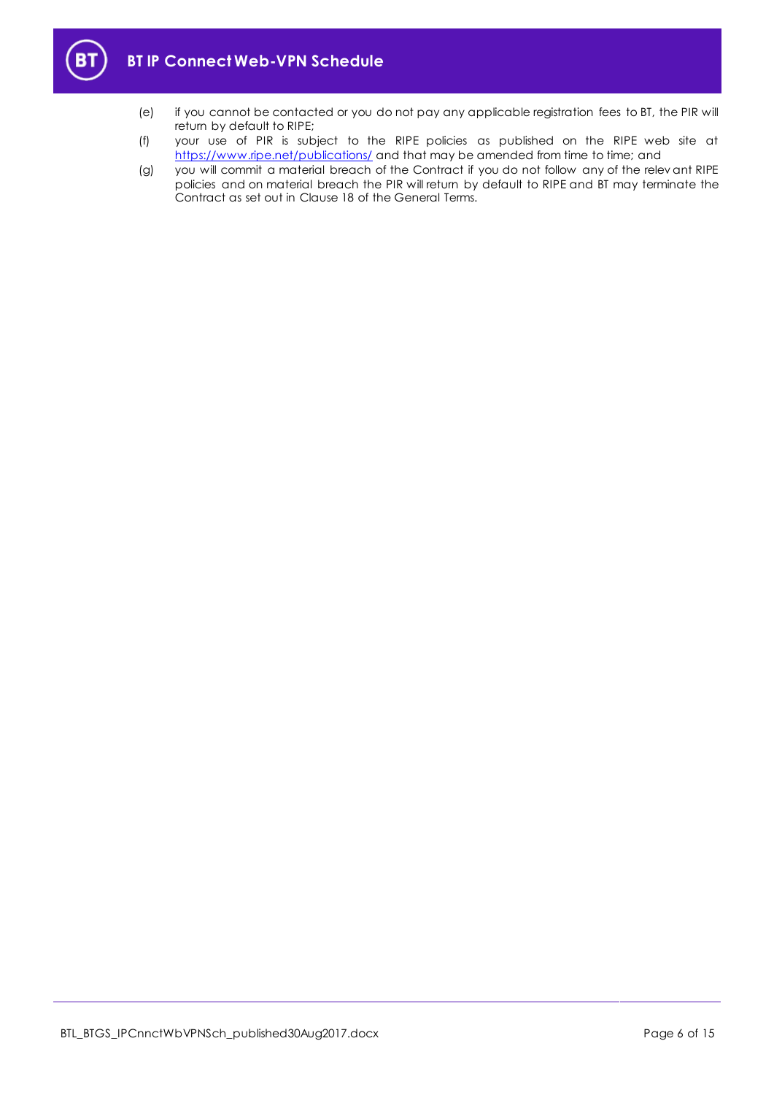

- (e) if you cannot be contacted or you do not pay any applicable registration fees to BT, the PIR will return by default to RIPE;
- (f) your use of PIR is subject to the RIPE policies as published on the RIPE web site at <https://www.ripe.net/publications/> and that may be amended from time to time; and
- (g) you will commit a material breach of the Contract if you do not follow any of the relev ant RIPE policies and on material breach the PIR will return by default to RIPE and BT may terminate the Contract as set out in Clause 18 of the General Terms.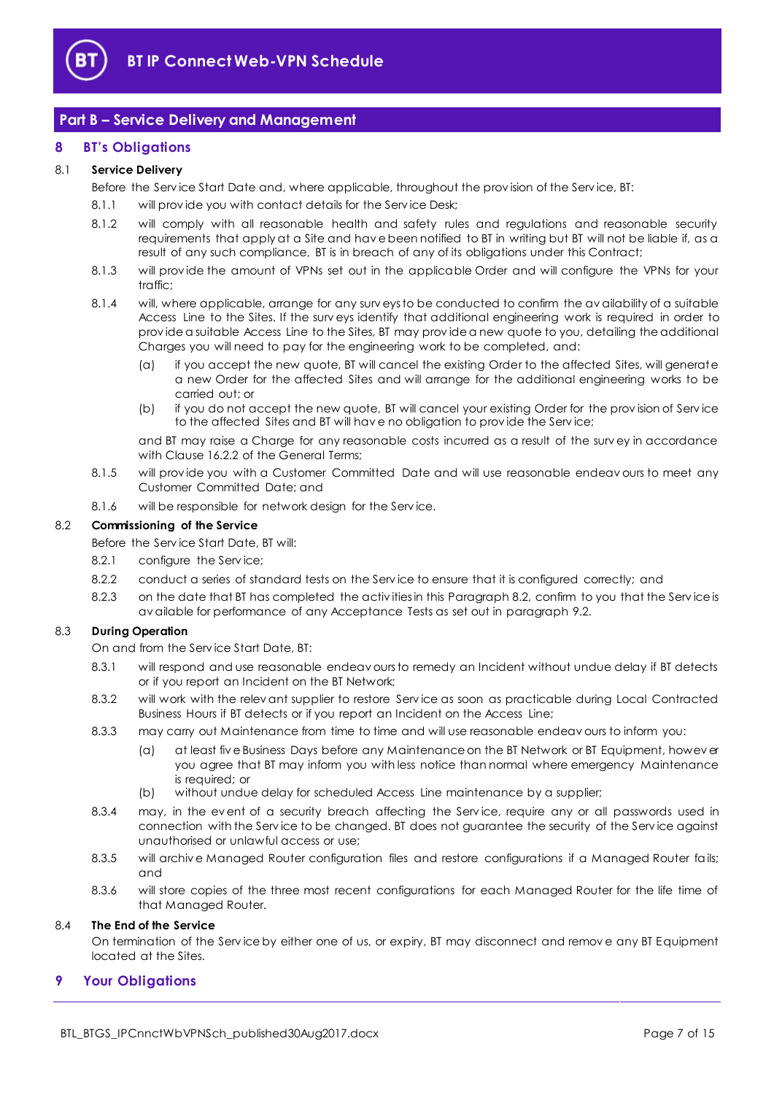

## <span id="page-6-0"></span>**Part B – Service Delivery and Management**

## <span id="page-6-1"></span>**8 BT's Obligations**

## 8.1 **Service Delivery**

Before the Serv ice Start Date and, where applicable, throughout the prov ision of the Serv ice, BT:

- 8.1.1 will provide you with contact details for the Service Desk;
- 8.1.2 will comply with all reasonable health and safety rules and regulations and reasonable security requirements that apply at a Site and hav e been notified to BT in writing but BT will not be liable if, as a result of any such compliance, BT is in breach of any of its obligations under this Contract;
- 8.1.3 will prov ide the amount of VPNs set out in the applicable Order and will configure the VPNs for your traffic;
- 8.1.4 will, where applicable, arrange for any surv eys to be conducted to confirm the av ailability of a suitable Access Line to the Sites. If the surv eys identify that additional engineering work is required in order to prov ide a suitable Access Line to the Sites, BT may prov ide a new quote to you, detailing the additional Charges you will need to pay for the engineering work to be completed, and:
	- (a) if you accept the new quote, BT will cancel the existing Order to the affected Sites, will generate a new Order for the affected Sites and will arrange for the additional engineering works to be carried out; or
	- (b) if you do not accept the new quote, BT will cancel your existing Order for the prov ision of Serv ice to the affected Sites and BT will hav e no obligation to prov ide the Serv ice;

and BT may raise a Charge for any reasonable costs incurred as a result of the surv ey in accordance with Clause 16.2.2 of the General Terms;

- 8.1.5 will provide you with a Customer Committed Date and will use reasonable endeavours to meet any Customer Committed Date; and
- 8.1.6 will be responsible for network design for the Serv ice.

#### <span id="page-6-3"></span>8.2 **Commissioning of the Service**

- Before the Serv ice Start Date, BT will:
- 8.2.1 configure the Service;
- 8.2.2 conduct a series of standard tests on the Serv ice to ensure that it is configured correctly; and
- 8.2.3 on the date that BT has completed the activities in this Paragrap[h 8.2,](#page-6-3) confirm to you that the Service is av ailable for performance of any Acceptance Tests as set out in paragrap[h 9.2.](#page-7-0)

#### <span id="page-6-5"></span><span id="page-6-4"></span>8.3 **During Operation**

On and from the Serv ice Start Date, BT:

- 8.3.1 will respond and use reasonable endeav ours to remedy an Incident without undue delay if BT detects or if you report an Incident on the BT Network;
- <span id="page-6-6"></span>8.3.2 will work with the relev ant supplier to restore Serv ice as soon as practicable during Local Contracted Business Hours if BT detects or if you report an Incident on the Access Line;
- 8.3.3 may carry out Maintenance from time to time and will use reasonable endeav ours to inform you:
	- (a) at least fiv e Business Days before any Maintenance on the BT Network or BT Equipment, howev er you agree that BT may inform you with less notice than normal where emergency Maintenance is required; or
	- (b) without undue delay for scheduled Access Line maintenance by a supplier;
- 8.3.4 may, in the event of a security breach affecting the Service, require any or all passwords used in connection with the Serv ice to be changed. BT does not guarantee the security of the Serv ice against unauthorised or unlawful access or use;
- 8.3.5 will archive Managed Router configuration files and restore configurations if a Managed Router fails; and
- 8.3.6 will store copies of the three most recent configurations for each Managed Router for the life time of that Managed Router.

#### 8.4 **The End of the Service**

On termination of the Serv ice by either one of us, or expiry, BT may disconnect and remov e any BT Equipment located at the Sites.

#### <span id="page-6-2"></span>**9 Your Obligations**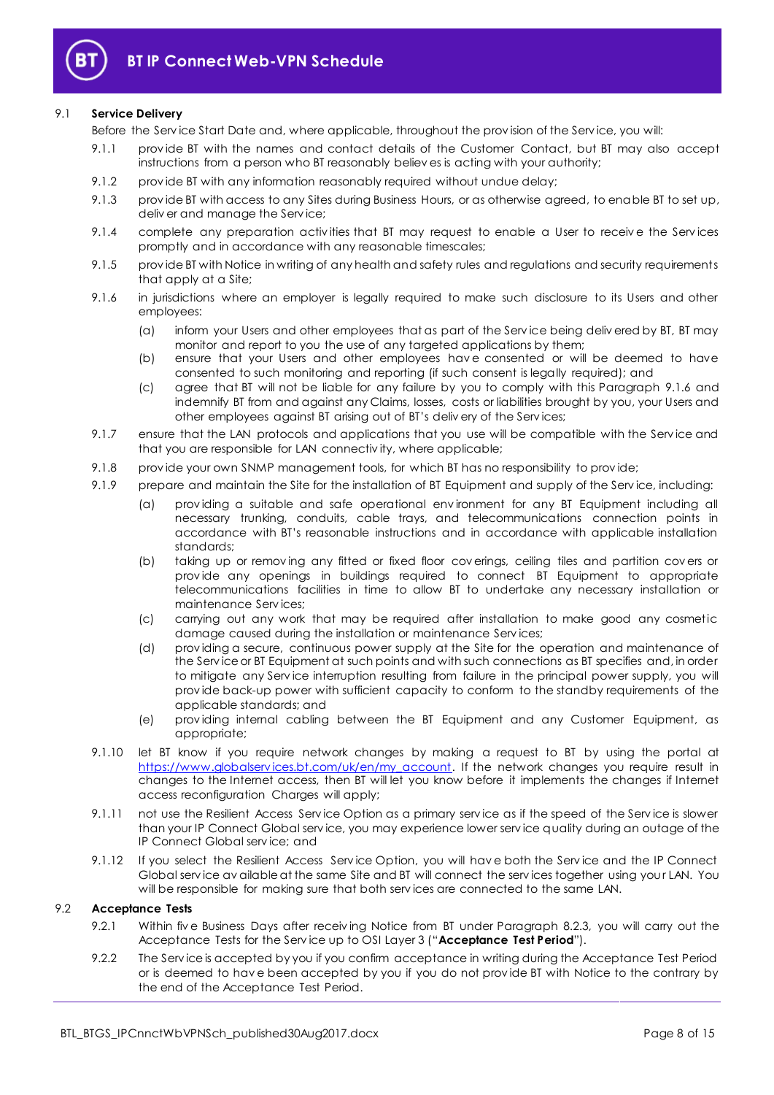

#### 9.1 **Service Delivery**

Before the Serv ice Start Date and, where applicable, throughout the prov ision of the Serv ice, you will:

- 9.1.1 prov ide BT with the names and contact details of the Customer Contact, but BT may also accept instructions from a person who BT reasonably believ es is acting with your authority;
- 9.1.2 prov ide BT with any information reasonably required without undue delay;
- 9.1.3 prov ide BT with access to any Sites during Business Hours, or as otherwise agreed, to enable BT to set up, deliv er and manage the Service;
- 9.1.4 complete any preparation activities that BT may request to enable a User to receive the Services promptly and in accordance with any reasonable timescales;
- 9.1.5 prov ide BT with Notice in writing of any health and safety rules and regulations and security requirements that apply at a Site;
- <span id="page-7-1"></span>9.1.6 in jurisdictions where an employer is legally required to make such disclosure to its Users and other employees:
	- (a) inform your Users and other employees that as part of the Serv ice being deliv ered by BT, BT may monitor and report to you the use of any targeted applications by them;
	- (b) ensure that your Users and other employees hav e consented or will be deemed to have consented to such monitoring and reporting (if such consent is legally required); and
	- (c) agree that BT will not be liable for any failure by you to comply with this Paragraph [9.1.6](#page-7-1) and indemnify BT from and against any Claims, losses, costs or liabilities brought by you, your Users and other employees against BT arising out of BT's deliv ery of the Serv ices;
- 9.1.7 ensure that the LAN protocols and applications that you use will be compatible with the Service and that you are responsible for LAN connectiv ity, where applicable;
- 9.1.8 prov ide your own SNMP management tools, for which BT has no responsibility to prov ide;
- 9.1.9 prepare and maintain the Site for the installation of BT Equipment and supply of the Serv ice, including:
	- (a) prov iding a suitable and safe operational env ironment for any BT Equipment including all necessary trunking, conduits, cable trays, and telecommunications connection points in accordance with BT's reasonable instructions and in accordance with applicable installation standards;
	- (b) taking up or remov ing any fitted or fixed floor cov erings, ceiling tiles and partition cov ers or prov ide any openings in buildings required to connect BT Equipment to appropriate telecommunications facilities in time to allow BT to undertake any necessary installation or maintenance Serv ices;
	- (c) carrying out any work that may be required after installation to make good any cosmetic damage caused during the installation or maintenance Serv ices;
	- (d) prov iding a secure, continuous power supply at the Site for the operation and maintenance of the Serv ice or BT Equipment at such points and with such connections as BT specifies and, in order to mitigate any Serv ice interruption resulting from failure in the principal power supply, you will prov ide back-up power with sufficient capacity to conform to the standby requirements of the applicable standards; and
	- (e) prov iding internal cabling between the BT Equipment and any Customer Equipment, as appropriate;
- 9.1.10 let BT know if you require network changes by making a request to BT by using the portal at https://www.globalservices.bt.com/uk/en/my\_account. If the network changes you require result in changes to the Internet access, then BT will let you know before it implements the changes if Internet access reconfiguration Charges will apply;
- 9.1.11 not use the Resilient Access Service Option as a primary service as if the speed of the Service is slower than your IP Connect Global serv ice, you may experience lower serv ice quality during an outage of the IP Connect Global serv ice; and
- 9.1.12 If you select the Resilient Access Serv ice Option, you will hav e both the Serv ice and the IP Connect Global serv ice av ailable at the same Site and BT will connect the serv ices together using your LAN. You will be responsible for making sure that both serv ices are connected to the same LAN.

#### <span id="page-7-3"></span><span id="page-7-0"></span>9.2 **Acceptance Tests**

- 9.2.1 Within five Business Days after receiving Notice from BT under Paragraph [8.2.3,](#page-6-4) you will carry out the Acceptance Tests for the Serv ice up to OSI Layer 3 ("**Acceptance Test Period**").
- <span id="page-7-2"></span>9.2.2 The Serv ice is accepted by you if you confirm acceptance in writing during the Acceptance Test Period or is deemed to hav e been accepted by you if you do not prov ide BT with Notice to the contrary by the end of the Acceptance Test Period.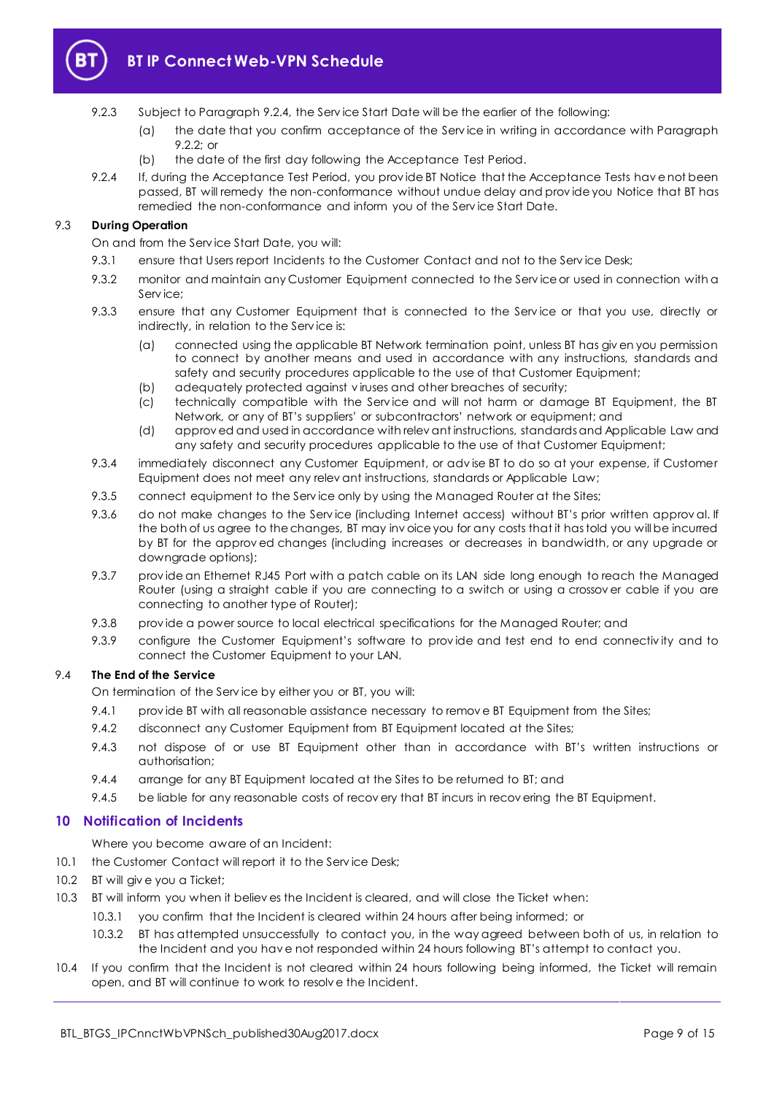

- 9.2.3 Subject to Paragraph [9.2.4,](#page-8-1) the Serv ice Start Date will be the earlier of the following:
	- (a) the date that you confirm acceptance of the Serv ice in writing in accordance with Paragraph [9.2.2;](#page-7-2) or
	- (b) the date of the first day following the Acceptance Test Period.
- <span id="page-8-1"></span>9.2.4 If, during the Acceptance Test Period, you prov ide BT Notice that the Acceptance Tests hav e not been passed, BT will remedy the non-conformance without undue delay and prov ide you Notice that BT has remedied the non-conformance and inform you of the Serv ice Start Date.

## 9.3 **During Operation**

On and from the Serv ice Start Date, you will:

- 9.3.1 ensure that Users report Incidents to the Customer Contact and not to the Service Desk;
- 9.3.2 monitor and maintain any Customer Equipment connected to the Serv ice or used in connection with a Serv ice;
- 9.3.3 ensure that any Customer Equipment that is connected to the Service or that you use, directly or indirectly, in relation to the Serv ice is:
	- (a) connected using the applicable BT Network termination point, unless BT has giv en you permission to connect by another means and used in accordance with any instructions, standards and safety and security procedures applicable to the use of that Customer Equipment;
	- (b) adequately protected against v iruses and other breaches of security;
	- (c) technically compatible with the Serv ice and will not harm or damage BT Equipment, the BT Network, or any of BT's suppliers' or subcontractors' network or equipment; and
	- (d) approv ed and used in accordance with relev ant instructions, standards and Applicable Law and any safety and security procedures applicable to the use of that Customer Equipment;
- 9.3.4 immediately disconnect any Customer Equipment, or adv ise BT to do so at your expense, if Customer Equipment does not meet any relev ant instructions, standards or Applicable Law;
- 9.3.5 connect equipment to the Service only by using the Managed Router at the Sites;
- 9.3.6 do not make changes to the Service (including Internet access) without BT's prior written approval. If the both of us agree to the changes, BT may inv oice you for any costs that it has told you will be incurred by BT for the approv ed changes (including increases or decreases in bandwidth, or any upgrade or downgrade options);
- 9.3.7 prov ide an Ethernet RJ45 Port with a patch cable on its LAN side long enough to reach the Managed Router (using a straight cable if you are connecting to a switch or using a crossov er cable if you are connecting to another type of Router);
- 9.3.8 prov ide a power source to local electrical specifications for the Managed Router; and
- 9.3.9 configure the Customer Equipment's software to prov ide and test end to end connectiv ity and to connect the Customer Equipment to your LAN.

## 9.4 **The End of the Service**

On termination of the Serv ice by either you or BT, you will:

- 9.4.1 provide BT with all reasonable assistance necessary to remove BT Equipment from the Sites;
- 9.4.2 disconnect any Customer Equipment from BT Equipment located at the Sites;
- 9.4.3 not dispose of or use BT Equipment other than in accordance with BT's written instructions or authorisation;
- 9.4.4 arrange for any BT Equipment located at the Sites to be returned to BT; and
- 9.4.5 be liable for any reasonable costs of recovery that BT incurs in recovering the BT Equipment.

#### <span id="page-8-0"></span>**10 Notification of Incidents**

Where you become aware of an Incident:

- 10.1 the Customer Contact will report it to the Service Desk;
- <span id="page-8-2"></span>10.2 BT will give you a Ticket;
- <span id="page-8-3"></span>10.3 BT will inform you when it believ es the Incident is cleared, and will close the Ticket when:
	- 10.3.1 you confirm that the Incident is cleared within 24 hours after being informed; or
	- 10.3.2 BT has attempted unsuccessfully to contact you, in the way agreed between both of us, in relation to the Incident and you hav e not responded within 24 hours following BT's attempt to contact you.
- <span id="page-8-4"></span>10.4 If you confirm that the Incident is not cleared within 24 hours following being informed, the Ticket will remain open, and BT will continue to work to resolv e the Incident.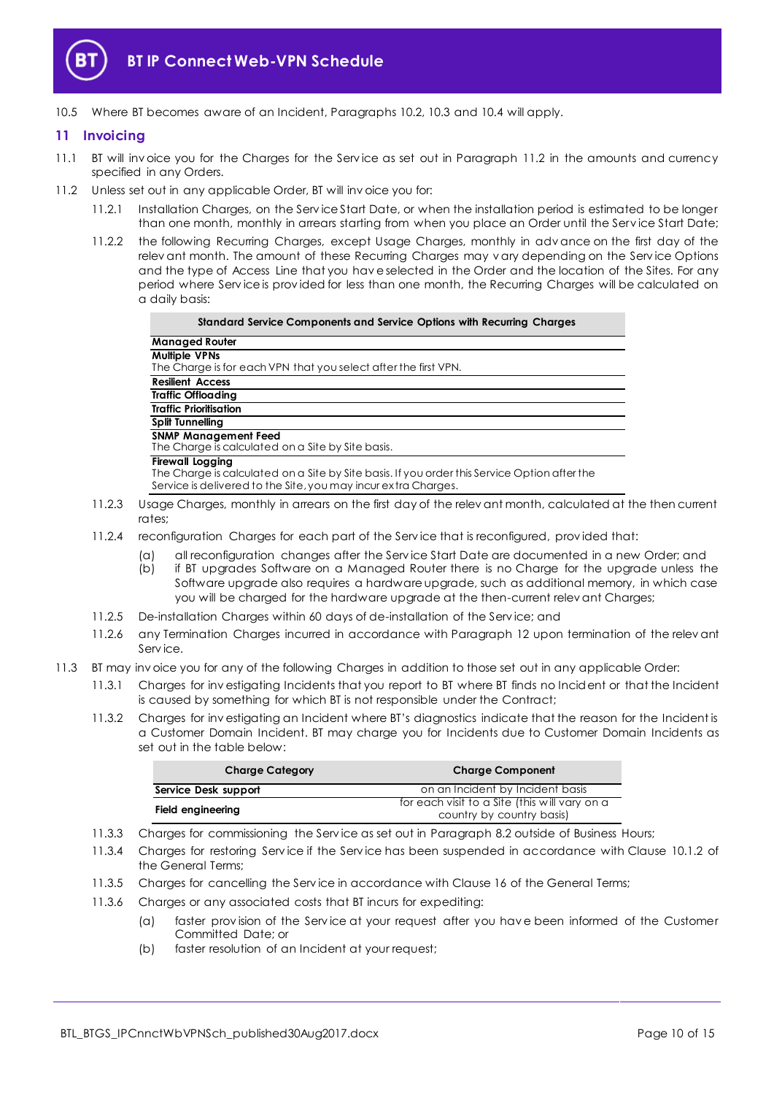

10.5 Where BT becomes aware of an Incident, Paragraphs [10.2,](#page-8-2) [10.3](#page-8-3) and [10.4](#page-8-4) will apply.

## <span id="page-9-0"></span>**11 Invoicing**

- 11.1 BT will invoice you for the Charges for the Service as set out in Paragraph [11.2](#page-9-1) in the amounts and currency specified in any Orders.
- <span id="page-9-1"></span>11.2 Unless set out in any applicable Order, BT will inv oice you for:
	- 11.2.1 Installation Charges, on the Serv ice Start Date, or when the installation period is estimated to be longer than one month, monthly in arrears starting from when you place an Order until the Serv ice Start Date;
	- 11.2.2 the following Recurring Charges, except Usage Charges, monthly in adv ance on the first day of the relev ant month. The amount of these Recurring Charges may vary depending on the Service Options and the type of Access Line that you hav e selected in the Order and the location of the Sites. For any period where Service is provided for less than one month, the Recurring Charges will be calculated on a daily basis:

| Standard Service Components and Service Options with Recurring Charges                                                                                                                    |  |  |  |  |  |
|-------------------------------------------------------------------------------------------------------------------------------------------------------------------------------------------|--|--|--|--|--|
| <b>Managed Router</b>                                                                                                                                                                     |  |  |  |  |  |
| <b>Multiple VPNs</b><br>The Charge is for each VPN that you select after the first VPN.                                                                                                   |  |  |  |  |  |
| <b>Resilient Access</b>                                                                                                                                                                   |  |  |  |  |  |
| <b>Traffic Offloading</b>                                                                                                                                                                 |  |  |  |  |  |
| <b>Traffic Prioritisation</b>                                                                                                                                                             |  |  |  |  |  |
| <b>Split Tunnelling</b>                                                                                                                                                                   |  |  |  |  |  |
| <b>SNMP Management Feed</b><br>The Charge is calculated on a Site by Site basis.                                                                                                          |  |  |  |  |  |
| <b>Firewall Logging</b><br>The Charge is calculated on a Site by Site basis. If you order this Service Option after the<br>Service is delivered to the Site, you may incure xtra Charges. |  |  |  |  |  |
| rage Charges, monthly in arranged the first day of the relay ant month ealer lated at th                                                                                                  |  |  |  |  |  |

- 11.2.3 Usage Charges, monthly in arrears on the first day of the relev ant month, calculated at the then current rates;
- 11.2.4 reconfiguration Charges for each part of the Serv ice that is reconfigured, prov ided that:
	- (a) all reconfiguration changes after the Serv ice Start Date are documented in a new Order; and
	- (b) if BT upgrades Software on a Managed Router there is no Charge for the upgrade unless the Software upgrade also requires a hardware upgrade, such as additional memory, in which case you will be charged for the hardware upgrade at the then-current relev ant Charges;
- 11.2.5 De-installation Charges within 60 days of de-installation of the Serv ice; and
- 11.2.6 any Termination Charges incurred in accordance with Paragraph [12](#page-10-0) upon termination of the relev ant Serv ice.
- 11.3 BT may inv oice you for any of the following Charges in addition to those set out in any applicable Order:
	- 11.3.1 Charges for inv estigating Incidents that you report to BT where BT finds no Incident or that the Incident is caused by something for which BT is not responsible under the Contract;
	- 11.3.2 Charges for inv estigating an Incident where BT's diagnostics indicate that the reason for the Incident is a Customer Domain Incident. BT may charge you for Incidents due to Customer Domain Incidents as set out in the table below:

| <b>Charge Category</b> | <b>Charge Component</b>                       |  |  |
|------------------------|-----------------------------------------------|--|--|
| Service Desk support   | on an Incident by Incident basis              |  |  |
| Field engineering      | for each visit to a Site (this will vary on a |  |  |
|                        | country by country basis)                     |  |  |

- 11.3.3 Charges for commissioning the Serv ice as set out in Paragrap[h 8.2](#page-6-3) outside of Business Hours;
- 11.3.4 Charges for restoring Serv ice if the Serv ice has been suspended in accordance with Clause 10.1.2 of the General Terms;
- 11.3.5 Charges for cancelling the Serv ice in accordance with Clause 16 of the General Terms;
- 11.3.6 Charges or any associated costs that BT incurs for expediting:
	- (a) faster prov ision of the Serv ice at your request after you hav e been informed of the Customer Committed Date; or
	- (b) faster resolution of an Incident at your request;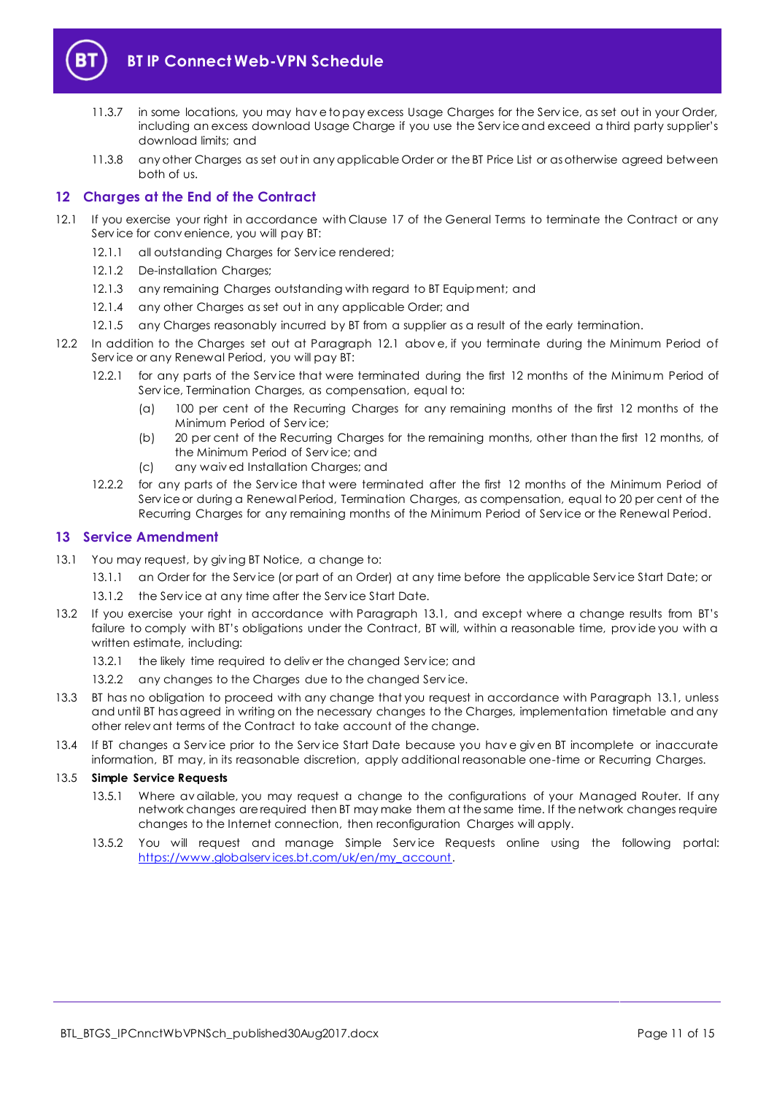

- 11.3.7 in some locations, you may hav e to pay excess Usage Charges for the Serv ice, as set out in your Order, including an excess download Usage Charge if you use the Serv ice and exceed a third party supplier's download limits; and
- 11.3.8 any other Charges as set out in any applicable Order or the BT Price List or as otherwise agreed between both of us.

## <span id="page-10-0"></span>**12 Charges at the End of the Contract**

- <span id="page-10-2"></span>12.1 If you exercise your right in accordance with Clause 17 of the General Terms to terminate the Contract or any Serv ice for conv enience, you will pay BT:
	- 12.1.1 all outstanding Charges for Serv ice rendered;
	- 12.1.2 De-installation Charges;
	- 12.1.3 any remaining Charges outstanding with regard to BT Equipment; and
	- 12.1.4 any other Charges as set out in any applicable Order; and
	- 12.1.5 any Charges reasonably incurred by BT from a supplier as a result of the early termination.
- 12.2 In addition to the Charges set out at Paragraph [12.1](#page-10-2) abov e, if you terminate during the Minimum Period of Serv ice or any Renewal Period, you will pay BT:
	- 12.2.1 for any parts of the Serv ice that were terminated during the first 12 months of the Minimum Period of Serv ice, Termination Charges, as compensation, equal to:
		- (a) 100 per cent of the Recurring Charges for any remaining months of the first 12 months of the Minimum Period of Serv ice;
		- (b) 20 per cent of the Recurring Charges for the remaining months, other than the first 12 months, of the Minimum Period of Serv ice; and
		- (c) any waiv ed Installation Charges; and
	- 12.2.2 for any parts of the Serv ice that were terminated after the first 12 months of the Minimum Period of Serv ice or during a Renewal Period, Termination Charges, as compensation, equal to 20 per cent of the Recurring Charges for any remaining months of the Minimum Period of Serv ice or the Renewal Period.

#### <span id="page-10-1"></span>**13 Service Amendment**

- <span id="page-10-3"></span>13.1 You may request, by giv ing BT Notice, a change to:
	- 13.1.1 an Order for the Service (or part of an Order) at any time before the applicable Service Start Date; or
	- 13.1.2 the Service at any time after the Service Start Date.
- 13.2 If you exercise your right in accordance with Paragraph [13.1](#page-10-3), and except where a change results from BT's failure to comply with BT's obligations under the Contract, BT will, within a reasonable time, prov ide you with a written estimate, including:
	- 13.2.1 the likely time required to deliver the changed Service; and
	- 13.2.2 any changes to the Charges due to the changed Service.
- 13.3 BT has no obligation to proceed with any change that you request in accordance with Paragraph [13.1,](#page-10-3) unless and until BT has agreed in writing on the necessary changes to the Charges, implementation timetable and any other relev ant terms of the Contract to take account of the change.
- 13.4 If BT changes a Serv ice prior to the Serv ice Start Date because you hav e giv en BT incomplete or inaccurate information, BT may, in its reasonable discretion, apply additional reasonable one-time or Recurring Charges.

#### <span id="page-10-4"></span>13.5 **Simple Service Requests**

- 13.5.1 Where av ailable, you may request a change to the configurations of your Managed Router. If any network changes are required then BT may make them at the same time. If the network changes require changes to the Internet connection, then reconfiguration Charges will apply.
- 13.5.2 You will request and manage Simple Service Requests online using the following portal: [https://www.globalserv ices.bt.com/uk/en/my\\_account.](https://www.globalservices.bt.com/uk/en/my_account)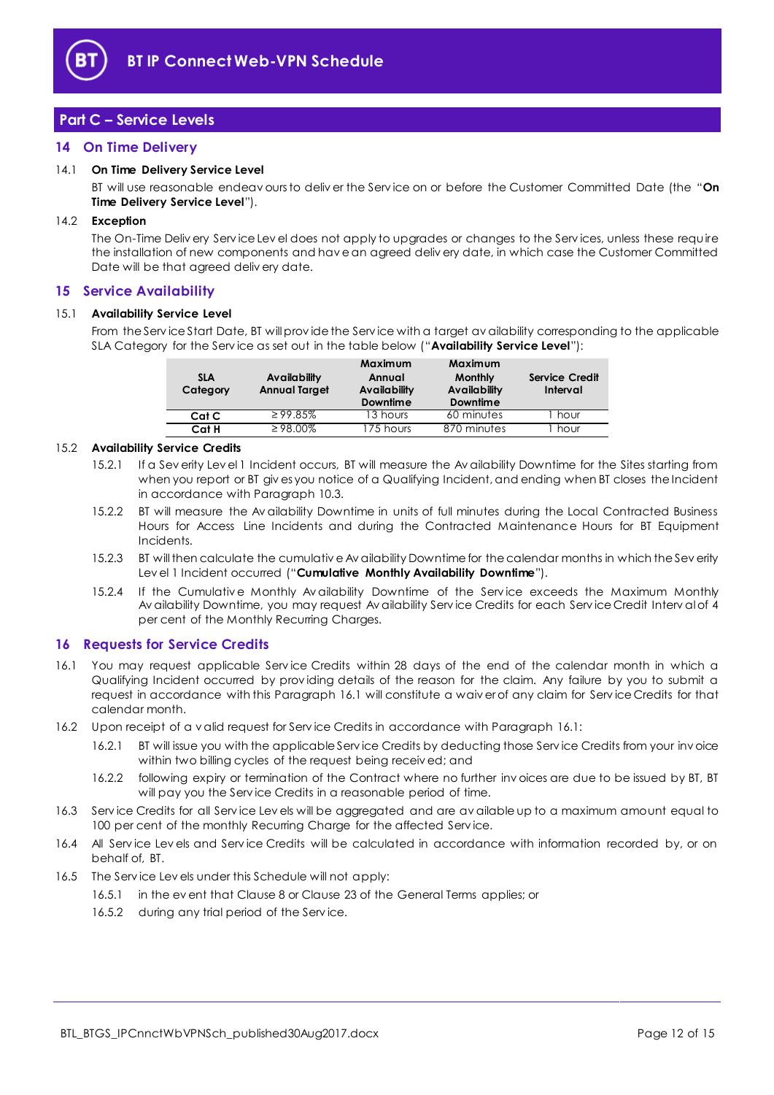

## <span id="page-11-0"></span>**Part C – Service Levels**

## <span id="page-11-1"></span>**14 On Time Delivery**

#### <span id="page-11-9"></span>14.1 **On Time Delivery Service Level**

BT will use reasonable endeav ours to deliv er the Serv ice on or before the Customer Committed Date (the "**On Time Delivery Service Level**").

#### 14.2 **Exception**

The On-Time Deliv ery Serv ice Lev el does not apply to upgrades or changes to the Serv ices, unless these require the installation of new components and hav e an agreed deliv ery date, in which case the Customer Committed Date will be that agreed deliv ery date.

#### <span id="page-11-2"></span>**15 Service Availability**

#### <span id="page-11-5"></span>15.1 **Availability Service Level**

From the Serv ice Start Date, BT will prov ide the Serv ice with a target av ailability corresponding to the applicable SLA Category for the Serv ice as set out in the table below ("**Availability Service Level**"):

| <b>SLA</b><br>Category | Availability<br><b>Annual Target</b> | Maximum<br>Annual<br>Availability<br><b>Downtime</b> | Maximum<br><b>Monthly</b><br><b>Availability</b><br>Downtime | <b>Service Credit</b><br>Interval |
|------------------------|--------------------------------------|------------------------------------------------------|--------------------------------------------------------------|-----------------------------------|
| Cat C                  | $\geq$ 99.85%                        | 13 hours                                             | 60 minutes                                                   | hour                              |
| Cat H                  | $\geq 98.00\%$                       | 175 hours                                            | 870 minutes                                                  | hour                              |

#### <span id="page-11-7"></span><span id="page-11-6"></span>15.2 **Availability Service Credits**

- 15.2.1 If a Sev erity Lev el 1 Incident occurs, BT will measure the Av ailability Downtime for the Sites starting from when you report or BT giv es you notice of a Qualifying Incident, and ending when BT closes the Incident in accordance with Paragrap[h 10.3.](#page-8-3)
- 15.2.2 BT will measure the Av ailability Downtime in units of full minutes during the Local Contracted Business Hours for Access Line Incidents and during the Contracted Maintenance Hours for BT Equipment Incidents.
- <span id="page-11-8"></span>15.2.3 BT will then calculate the cumulativ e Av ailability Downtime for the calendar months in which the Sev erity Lev el 1 Incident occurred ("**Cumulative Monthly Availability Downtime**").
- 15.2.4 If the Cumulative Monthly Av ailability Downtime of the Service exceeds the Maximum Monthly Av ailability Downtime, you may request Av ailability Serv ice Credits for each Serv ice Credit Interv al of 4 per cent of the Monthly Recurring Charges.

#### <span id="page-11-3"></span>**16 Requests for Service Credits**

- <span id="page-11-4"></span>16.1 You may request applicable Serv ice Credits within 28 days of the end of the calendar month in which a Qualifying Incident occurred by prov iding details of the reason for the claim. Any failure by you to submit a request in accordance with this Paragraph [16.1](#page-11-4) will constitute a waiv er of any claim for Serv ice Credits for that calendar month.
- 16.2 Upon receipt of a v alid request for Serv ice Credits in accordance with Paragrap[h 16.1:](#page-11-4)
	- 16.2.1 BT will issue you with the applicable Serv ice Credits by deducting those Serv ice Credits from your inv oice within two billing cycles of the request being receiv ed; and
	- 16.2.2 following expiry or termination of the Contract where no further inv oices are due to be issued by BT, BT will pay you the Serv ice Credits in a reasonable period of time.
- 16.3 Serv ice Credits for all Serv ice Lev els will be aggregated and are av ailable up to a maximum amount equal to 100 per cent of the monthly Recurring Charge for the affected Service.
- 16.4 All Serv ice Lev els and Serv ice Credits will be calculated in accordance with information recorded by, or on behalf of, BT.
- 16.5 The Serv ice Lev els under this Schedule will not apply:
	- 16.5.1 in the ev ent that Clause 8 or Clause 23 of the General Terms applies; or
	- 16.5.2 during any trial period of the Service.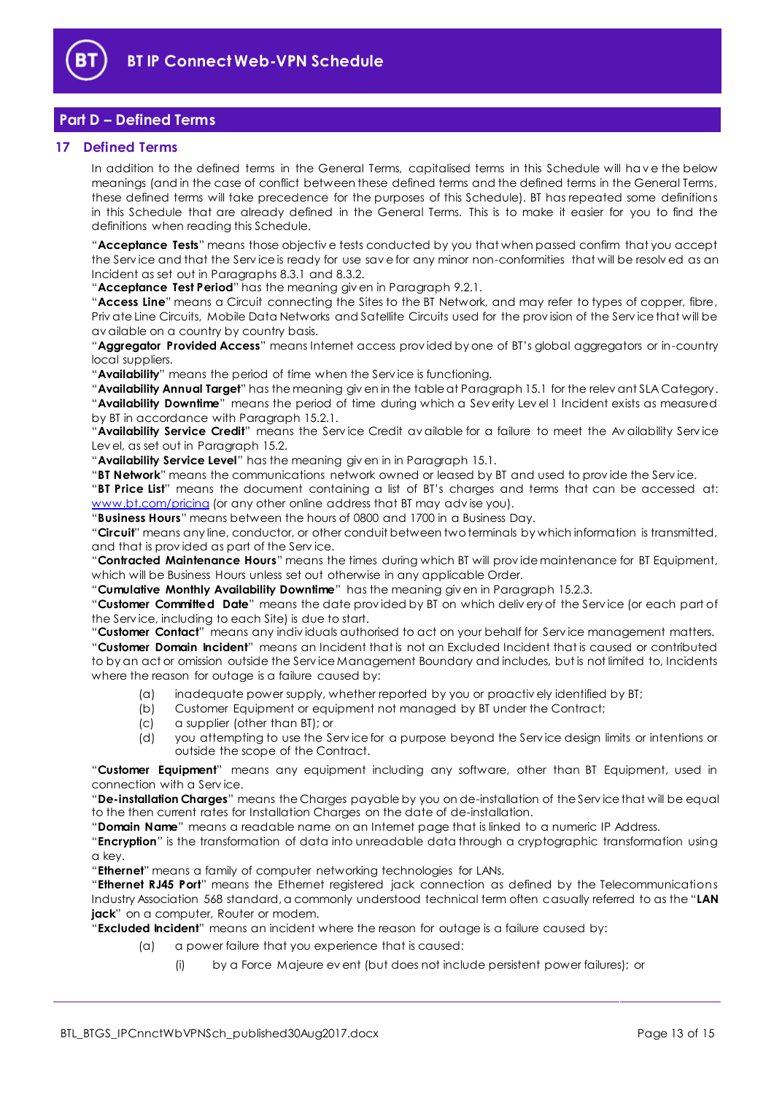

## <span id="page-12-0"></span>**Part D – Defined Terms**

## <span id="page-12-1"></span>**17 Defined Terms**

In addition to the defined terms in the General Terms, capitalised terms in this Schedule will hav e the below meanings (and in the case of conflict between these defined terms and the defined terms in the General Terms, these defined terms will take precedence for the purposes of this Schedule). BT has repeated some definitions in this Schedule that are already defined in the General Terms. This is to make it easier for you to find the definitions when reading this Schedule.

"**Acceptance Tests**" means those objectiv e tests conducted by you that when passed confirm that you accept the Serv ice and that the Serv ice is ready for use sav e for any minor non-conformities that will be resolv ed as an Incident as set out in Paragraphs [8.3.1](#page-6-5) and [8.3.2.](#page-6-6)

"**Acceptance Test Period**" has the meaning giv en in Paragrap[h 9.2.1.](#page-7-3)

"**Access Line**" means a Circuit connecting the Sites to the BT Network, and may refer to types of copper, fibre, Priv ate Line Circuits, Mobile Data Networks and Satellite Circuits used for the prov ision of the Serv ice that will be av ailable on a country by country basis.

"**Aggregator Provided Access**" means Internet access prov ided by one of BT's global aggregators or in-country local suppliers.

"**Availability**" means the period of time when the Serv ice is functioning.

"**Availability Annual Target**" has the meaning giv en in the table at Paragraph [15.1](#page-11-5) for the relev ant SLA Category. "**Availability Downtime**" means the period of time during which a Sev erity Lev el 1 Incident exists as measured by BT in accordance with Paragraph [15.2.1.](#page-11-6)

"**Availability Service Credit**" means the Serv ice Credit av ailable for a failure to meet the Av ailability Serv ice Lev el, as set out in Paragraph [15.2.](#page-11-7)

"**Availability Service Level**" has the meaning giv en in in Paragraph [15.1.](#page-11-5)

"**BT Network**" means the communications network owned or leased by BT and used to prov ide the Serv ice.

"**BT Price List**" means the document containing a list of BT's charges and terms that can be accessed at: [www.bt.com/pricing](http://www.bt.com/pricing) (or any other online address that BT may advise you).

"**Business Hours**" means between the hours of 0800 and 1700 in a Business Day.

"**Circuit**" means any line, conductor, or other conduit between two terminals by which information is transmitted, and that is prov ided as part of the Serv ice.

"**Contracted Maintenance Hours**" means the times during which BT will prov ide maintenance for BT Equipment, which will be Business Hours unless set out otherwise in any applicable Order.

"**Cumulative Monthly Availability Downtime**" has the meaning giv en in Paragrap[h 15.2.3.](#page-11-8)

"**Customer Committed Date**" means the date prov ided by BT on which deliv ery of the Serv ice (or each part of the Serv ice, including to each Site) is due to start.

"**Customer Contact**" means any indiv iduals authorised to act on your behalf for Serv ice management matters. "**Customer Domain Incident**" means an Incident that is not an Excluded Incident that is caused or contributed to by an act or omission outside the Serv ice Management Boundary and includes, but is not limited to, Incidents where the reason for outage is a failure caused by:

- (a) inadequate power supply, whether reported by you or proactiv ely identified by BT;
- (b) Customer Equipment or equipment not managed by BT under the Contract;
- (c) a supplier (other than BT); or
- (d) you attempting to use the Serv ice for a purpose beyond the Serv ice design limits or intentions or outside the scope of the Contract.

"**Customer Equipment**" means any equipment including any software, other than BT Equipment, used in connection with a Serv ice.

"**De-installation Charges**" means the Charges payable by you on de-installation of the Serv ice that will be equal to the then current rates for Installation Charges on the date of de-installation.

"**Domain Name**" means a readable name on an Internet page that is linked to a numeric IP Address.

"**Encryption**" is the transformation of data into unreadable data through a cryptographic transformation using a key.

"**Ethernet**" means a family of computer networking technologies for LANs.

"**Ethernet RJ45 Port**" means the Ethernet registered jack connection as defined by the Telecommunications Industry Association 568 standard, a commonly understood technical term often casually referred to as the "**LAN jack**" on a computer, Router or modem.

"**Excluded Incident**" means an incident where the reason for outage is a failure caused by:

- (a) a power failure that you experience that is caused:
	- (i) by a Force Majeure ev ent (but does not include persistent power failures); or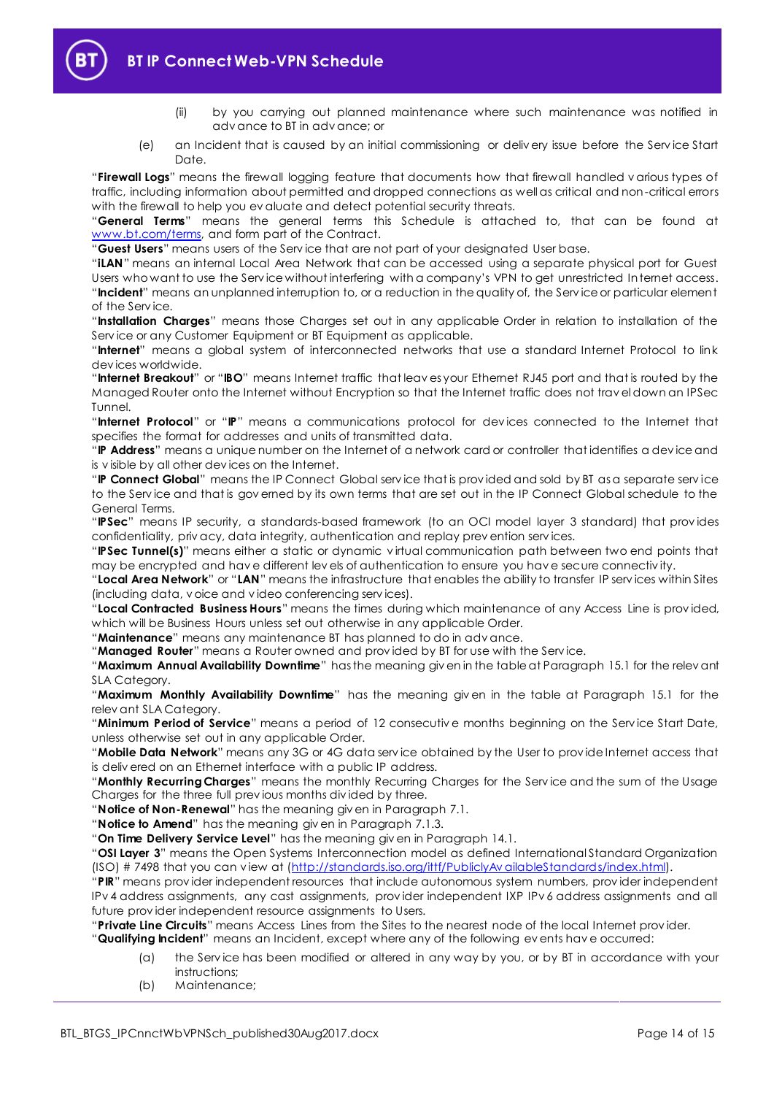- (ii) by you carrying out planned maintenance where such maintenance was notified in adv ance to BT in adv ance; or
- (e) an Incident that is caused by an initial commissioning or deliv ery issue before the Serv ice Start Date.

"**Firewall Logs**" means the firewall logging feature that documents how that firewall handled v arious types of traffic, including information about permitted and dropped connections as well as critical and non-critical errors with the firewall to help you ev aluate and detect potential security threats.

"**General Terms**" means the general terms this Schedule is attached to, that can be found at [www.bt.com/terms,](http://www.bt.com/terms) and form part of the Contract.

"**Guest Users**" means users of the Serv ice that are not part of your designated User base.

"**iLAN**" means an internal Local Area Network that can be accessed using a separate physical port for Guest Users who want to use the Serv ice without interfering with a company's VPN to get unrestricted Internet access. "**Incident**" means an unplanned interruption to, or a reduction in the quality of, the Serv ice or particular element of the Serv ice.

"**Installation Charges**" means those Charges set out in any applicable Order in relation to installation of the Serv ice or any Customer Equipment or BT Equipment as applicable.

"**Internet**" means a global system of interconnected networks that use a standard Internet Protocol to link dev ices worldwide.

"**Internet Breakout**" or "**IBO**" means Internet traffic that leav es your Ethernet RJ45 port and that is routed by the Managed Router onto the Internet without Encryption so that the Internet traffic does not trav el down an IPSec Tunnel.

"**Internet Protocol**" or "**IP**" means a communications protocol for dev ices connected to the Internet that specifies the format for addresses and units of transmitted data.

"**IP Address**" means a unique number on the Internet of a network card or controller that identifies a dev ice and is v isible by all other dev ices on the Internet.

"**IP Connect Global**" means the IP Connect Global serv ice that is prov ided and sold by BT as a separate serv ice to the Serv ice and that is gov erned by its own terms that are set out in the IP Connect Global schedule to the General Terms.

"**IPSec**" means IP security, a standards-based framework (to an OCI model layer 3 standard) that prov ides confidentiality, priv acy, data integrity, authentication and replay prev ention serv ices.

"**IPSec Tunnel(s)**" means either a static or dynamic v irtual communication path between two end points that may be encrypted and hav e different lev els of authentication to ensure you hav e secure connectiv ity.

"**Local Area Network**" or "**LAN**" means the infrastructure that enables the ability to transfer IP serv ices within Sites (including data, v oice and v ideo conferencing serv ices).

"**Local Contracted Business Hours**" means the times during which maintenance of any Access Line is prov ided, which will be Business Hours unless set out otherwise in any applicable Order.

"**Maintenance**" means any maintenance BT has planned to do in adv ance.

"**Managed Router**" means a Router owned and prov ided by BT for use with the Serv ice.

"**Maximum Annual Availability Downtime**" has the meaning giv en in the table at Paragraph [15.1](#page-11-5) for the relev ant SLA Category.

"**Maximum Monthly Availability Downtime**" has the meaning giv en in the table at Paragraph [15.1](#page-11-5) for the relev ant SLA Category.

"**Minimum Period of Service**" means a period of 12 consecutiv e months beginning on the Serv ice Start Date, unless otherwise set out in any applicable Order.

"**Mobile Data Network**" means any 3G or 4G data serv ice obtained by the User to prov ide Internet access that is deliv ered on an Ethernet interface with a public IP address.

"**Monthly Recurring Charges**" means the monthly Recurring Charges for the Serv ice and the sum of the Usage Charges for the three full prev ious months div ided by three.

"**Notice of Non-Renewal**" has the meaning giv en in Paragrap[h 7.1.](#page-3-3)

"**Notice to Amend**" has the meaning giv en in Paragraph [7.1.3.](#page-4-2)

"**On Time Delivery Service Level**" has the meaning giv en in Paragrap[h 14.1.](#page-11-9)

"**OSI Layer 3**" means the Open Systems Interconnection model as defined International Standard Organization (ISO) # 7498 that you can v iew at [\(http://standards.iso.org/ittf/PubliclyAv ailableStandards/index.html\)](http://standards.iso.org/ittf/PubliclyAvailableStandards/index.html).

"**PIR**" means prov ider independent resources that include autonomous system numbers, prov ider independent IPv 4 address assignments, any cast assignments, prov ider independent IXP IPv 6 address assignments and all future prov ider independent resource assignments to Users.

"**Private Line Circuits**" means Access Lines from the Sites to the nearest node of the local Internet prov ider.

"**Qualifying Incident**" means an Incident, except where any of the following ev ents hav e occurred:

- (a) the Serv ice has been modified or altered in any way by you, or by BT in accordance with your instructions;
- (b) Maintenance;